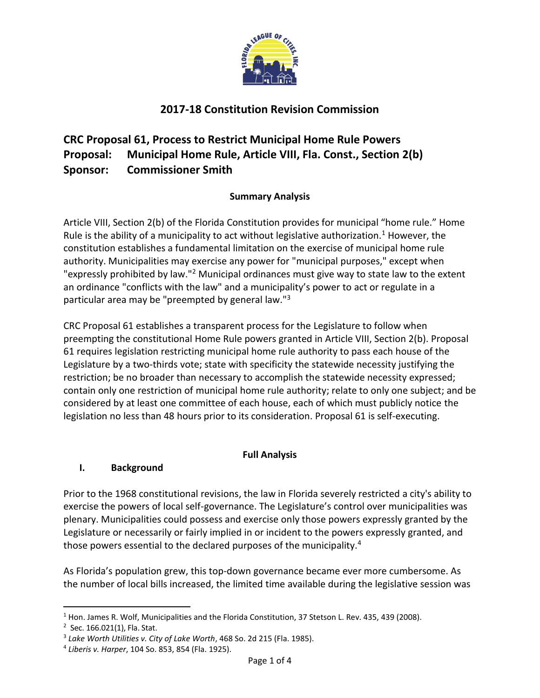

# **2017-18 Constitution Revision Commission**

# **CRC Proposal 61, Process to Restrict Municipal Home Rule Powers Proposal: Municipal Home Rule, Article VIII, Fla. Const., Section 2(b) Sponsor: Commissioner Smith**

#### **Summary Analysis**

Article VIII, Section 2(b) of the Florida Constitution provides for municipal "home rule." Home Rule is the ability of a municipality to act without legislative authorization.<sup>1</sup> However, the constitution establishes a fundamental limitation on the exercise of municipal home rule authority. Municipalities may exercise any power for "municipal purposes," except when "expressly prohibited by law."<sup>2</sup> Municipal ordinances must give way to state law to the extent an ordinance "conflicts with the law" and a municipality's power to act or regulate in a particular area may be "preempted by general law."<sup>3</sup>

CRC Proposal 61 establishes a transparent process for the Legislature to follow when preempting the constitutional Home Rule powers granted in Article VIII, Section 2(b). Proposal 61 requires legislation restricting municipal home rule authority to pass each house of the Legislature by a two-thirds vote; state with specificity the statewide necessity justifying the restriction; be no broader than necessary to accomplish the statewide necessity expressed; contain only one restriction of municipal home rule authority; relate to only one subject; and be considered by at least one committee of each house, each of which must publicly notice the legislation no less than 48 hours prior to its consideration. Proposal 61 is self-executing.

#### **Full Analysis**

# **I. Background**

Prior to the 1968 constitutional revisions, the law in Florida severely restricted a city's ability to exercise the powers of local self-governance. The Legislature's control over municipalities was plenary. Municipalities could possess and exercise only those powers expressly granted by the Legislature or necessarily or fairly implied in or incident to the powers expressly granted, and those powers essential to the declared purposes of the municipality.<sup>4</sup>

As Florida's population grew, this top-down governance became ever more cumbersome. As the number of local bills increased, the limited time available during the legislative session was

 $\overline{\phantom{a}}$ 

<sup>&</sup>lt;sup>1</sup> Hon. James R. Wolf, Municipalities and the Florida Constitution, 37 Stetson L. Rev. 435, 439 (2008).

<sup>&</sup>lt;sup>2</sup> Sec. 166.021(1), Fla. Stat.

<sup>3</sup> *Lake Worth Utilities v. City of Lake Worth*, 468 So. 2d 215 (Fla. 1985).

<sup>4</sup> *Liberis v. Harper*, 104 So. 853, 854 (Fla. 1925).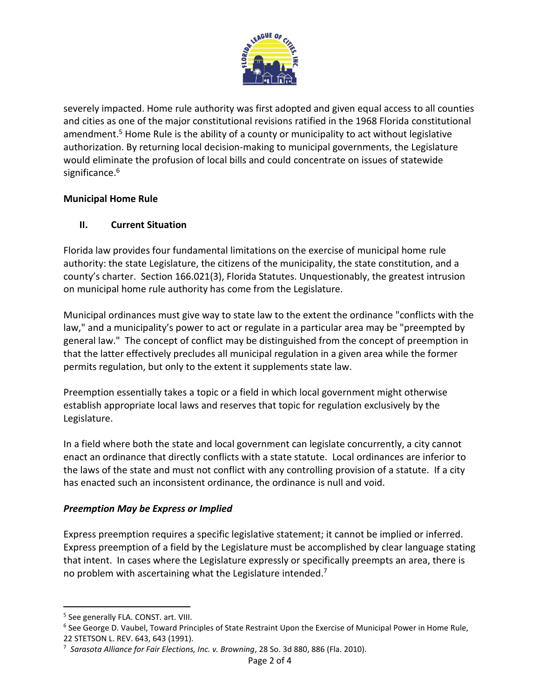

severely impacted. Home rule authority was first adopted and given equal access to all counties and cities as one of the major constitutional revisions ratified in the 1968 Florida constitutional amendment.<sup>5</sup> Home Rule is the ability of a county or municipality to act without legislative authorization. By returning local decision-making to municipal governments, the Legislature would eliminate the profusion of local bills and could concentrate on issues of statewide significance.<sup>6</sup>

# **Municipal Home Rule**

# **II. Current Situation**

Florida law provides four fundamental limitations on the exercise of municipal home rule authority: the state Legislature, the citizens of the municipality, the state constitution, and a county's charter. Section 166.021(3), Florida Statutes. Unquestionably, the greatest intrusion on municipal home rule authority has come from the Legislature.

Municipal ordinances must give way to state law to the extent the ordinance "conflicts with the law," and a municipality's power to act or regulate in a particular area may be "preempted by general law." The concept of conflict may be distinguished from the concept of preemption in that the latter effectively precludes all municipal regulation in a given area while the former permits regulation, but only to the extent it supplements state law.

Preemption essentially takes a topic or a field in which local government might otherwise establish appropriate local laws and reserves that topic for regulation exclusively by the Legislature.

In a field where both the state and local government can legislate concurrently, a city cannot enact an ordinance that directly conflicts with a state statute. Local ordinances are inferior to the laws of the state and must not conflict with any controlling provision of a statute. If a city has enacted such an inconsistent ordinance, the ordinance is null and void.

#### *Preemption May be Express or Implied*

Express preemption requires a specific legislative statement; it cannot be implied or inferred. Express preemption of a field by the Legislature must be accomplished by clear language stating that intent. In cases where the Legislature expressly or specifically preempts an area, there is no problem with ascertaining what the Legislature intended.<sup>7</sup>

 $\overline{\phantom{a}}$ 

<sup>&</sup>lt;sup>5</sup> See generally FLA. CONST. art. VIII.

<sup>&</sup>lt;sup>6</sup> See George D. Vaubel, Toward Principles of State Restraint Upon the Exercise of Municipal Power in Home Rule, 22 STETSON L. REV. 643, 643 (1991).

<sup>7</sup> *Sarasota Alliance for Fair Elections, Inc. v. Browning*, 28 So. 3d 880, 886 (Fla. 2010).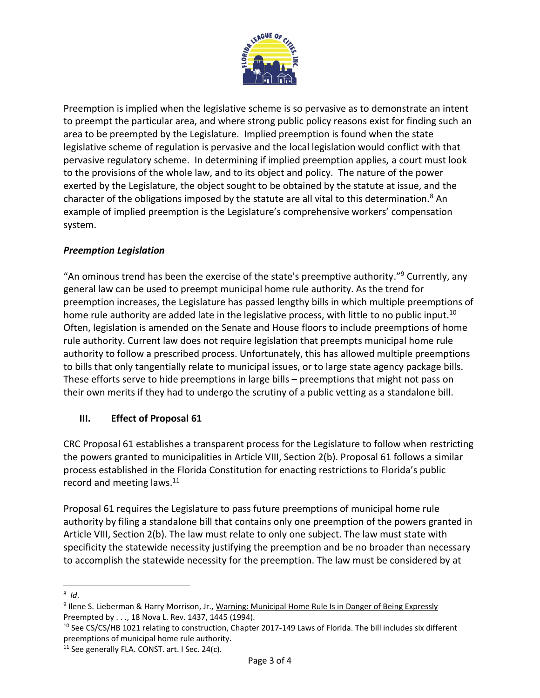

Preemption is implied when the legislative scheme is so pervasive as to demonstrate an intent to preempt the particular area, and where strong public policy reasons exist for finding such an area to be preempted by the Legislature. Implied preemption is found when the state legislative scheme of regulation is pervasive and the local legislation would conflict with that pervasive regulatory scheme. In determining if implied preemption applies, a court must look to the provisions of the whole law, and to its object and policy. The nature of the power exerted by the Legislature, the object sought to be obtained by the statute at issue, and the character of the obligations imposed by the statute are all vital to this determination.<sup>8</sup> An example of implied preemption is the Legislature's comprehensive workers' compensation system.

# *Preemption Legislation*

"An ominous trend has been the exercise of the state's preemptive authority."<sup>9</sup> Currently, any general law can be used to preempt municipal home rule authority. As the trend for preemption increases, the Legislature has passed lengthy bills in which multiple preemptions of home rule authority are added late in the legislative process, with little to no public input.<sup>10</sup> Often, legislation is amended on the Senate and House floors to include preemptions of home rule authority. Current law does not require legislation that preempts municipal home rule authority to follow a prescribed process. Unfortunately, this has allowed multiple preemptions to bills that only tangentially relate to municipal issues, or to large state agency package bills. These efforts serve to hide preemptions in large bills – preemptions that might not pass on their own merits if they had to undergo the scrutiny of a public vetting as a standalone bill.

#### **III. Effect of Proposal 61**

CRC Proposal 61 establishes a transparent process for the Legislature to follow when restricting the powers granted to municipalities in Article VIII, Section 2(b). Proposal 61 follows a similar process established in the Florida Constitution for enacting restrictions to Florida's public record and meeting laws. $11$ 

Proposal 61 requires the Legislature to pass future preemptions of municipal home rule authority by filing a standalone bill that contains only one preemption of the powers granted in Article VIII, Section 2(b). The law must relate to only one subject. The law must state with specificity the statewide necessity justifying the preemption and be no broader than necessary to accomplish the statewide necessity for the preemption. The law must be considered by at

l 8 *Id*.

<sup>&</sup>lt;sup>9</sup> Ilene S. Lieberman & Harry Morrison, Jr., Warning: Municipal Home Rule Is in Danger of Being Expressly Preempted by . . ., 18 Nova L. Rev. 1437, 1445 (1994).

<sup>&</sup>lt;sup>10</sup> See CS/CS/HB 1021 relating to construction, Chapter 2017-149 Laws of Florida. The bill includes six different preemptions of municipal home rule authority.

<sup>&</sup>lt;sup>11</sup> See generally FLA. CONST. art. I Sec. 24(c).